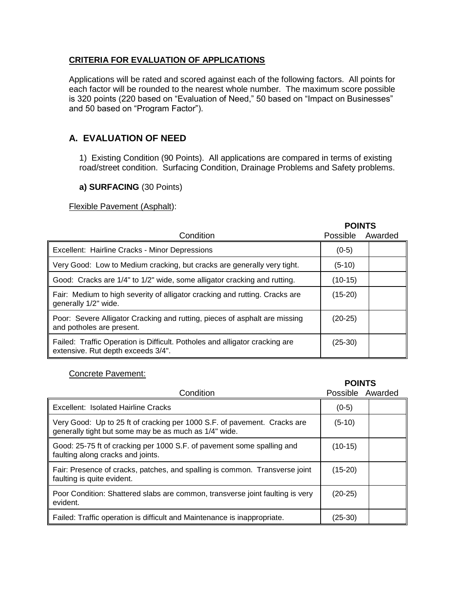### **CRITERIA FOR EVALUATION OF APPLICATIONS**

Applications will be rated and scored against each of the following factors. All points for each factor will be rounded to the nearest whole number. The maximum score possible is 320 points (220 based on "Evaluation of Need," 50 based on "Impact on Businesses" and 50 based on "Program Factor").

# **A. EVALUATION OF NEED**

1) Existing Condition (90 Points). All applications are compared in terms of existing road/street condition. Surfacing Condition, Drainage Problems and Safety problems.

### **a) SURFACING** (30 Points)

Flexible Pavement (Asphalt):

|                                                                                                                   | <b>POINTS</b>   |         |
|-------------------------------------------------------------------------------------------------------------------|-----------------|---------|
| Condition                                                                                                         | <b>Possible</b> | Awarded |
| Excellent: Hairline Cracks - Minor Depressions                                                                    | $(0-5)$         |         |
| Very Good: Low to Medium cracking, but cracks are generally very tight.                                           | $(5-10)$        |         |
| Good: Cracks are 1/4" to 1/2" wide, some alligator cracking and rutting.                                          | $(10-15)$       |         |
| Fair: Medium to high severity of alligator cracking and rutting. Cracks are<br>generally 1/2" wide.               | $(15-20)$       |         |
| Poor: Severe Alligator Cracking and rutting, pieces of asphalt are missing<br>and potholes are present.           | $(20-25)$       |         |
| Failed: Traffic Operation is Difficult. Potholes and alligator cracking are<br>extensive. Rut depth exceeds 3/4". | $(25-30)$       |         |

### Concrete Pavement:

|                                                                                                                                   | <b>POINTS</b> |                  |
|-----------------------------------------------------------------------------------------------------------------------------------|---------------|------------------|
| Condition                                                                                                                         |               | Possible Awarded |
| Excellent: Isolated Hairline Cracks                                                                                               | $(0-5)$       |                  |
| Very Good: Up to 25 ft of cracking per 1000 S.F. of pavement. Cracks are<br>generally tight but some may be as much as 1/4" wide. | $(5-10)$      |                  |
| Good: 25-75 ft of cracking per 1000 S.F. of pavement some spalling and<br>faulting along cracks and joints.                       | $(10-15)$     |                  |
| Fair: Presence of cracks, patches, and spalling is common. Transverse joint<br>faulting is quite evident.                         | $(15-20)$     |                  |
| Poor Condition: Shattered slabs are common, transverse joint faulting is very<br>evident.                                         | $(20-25)$     |                  |
| Failed: Traffic operation is difficult and Maintenance is inappropriate.                                                          | (25-30)       |                  |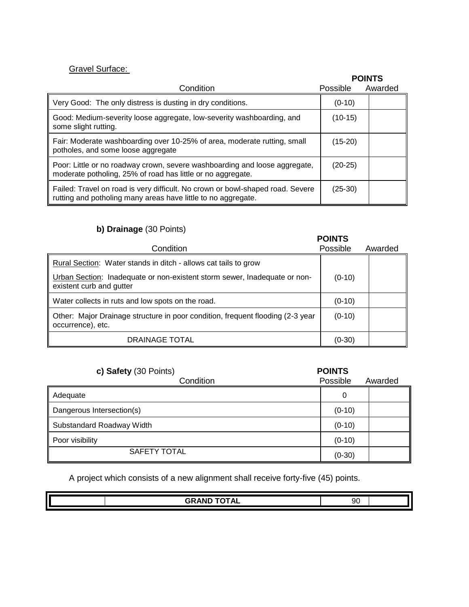## Gravel Surface:

#### **POINTS** Condition **Possible** Awarded Very Good: The only distress is dusting in dry conditions. (0-10) Good: Medium-severity loose aggregate, low-severity washboarding, and some slight rutting. (10-15) Fair: Moderate washboarding over 10-25% of area, moderate rutting, small potholes, and some loose aggregate (15-20) Poor: Little or no roadway crown, severe washboarding and loose aggregate, moderate potholing, 25% of road has little or no aggregate. (20-25) Failed: Travel on road is very difficult. No crown or bowl-shaped road. Severe rutting and potholing many areas have little to no aggregate. (25-30)

### **b) Drainage** (30 Points)

|                                                                                                       | <b>POINTS</b> |         |
|-------------------------------------------------------------------------------------------------------|---------------|---------|
| Condition                                                                                             | Possible      | Awarded |
| Rural Section: Water stands in ditch - allows cat tails to grow                                       |               |         |
| Urban Section: Inadequate or non-existent storm sewer, Inadequate or non-<br>existent curb and gutter | $(0-10)$      |         |
| Water collects in ruts and low spots on the road.                                                     | $(0-10)$      |         |
| Other: Major Drainage structure in poor condition, frequent flooding (2-3 year<br>occurrence), etc.   | $(0-10)$      |         |
| <b>DRAINAGE TOTAL</b>                                                                                 | $(0-30)$      |         |

| c) Safety (30 Points)     | <b>POINTS</b> |         |
|---------------------------|---------------|---------|
| Condition                 | Possible      | Awarded |
| Adequate                  | 0             |         |
| Dangerous Intersection(s) | $(0-10)$      |         |
| Substandard Roadway Width | $(0-10)$      |         |
| Poor visibility           | $(0-10)$      |         |
| <b>SAFETY TOTAL</b>       | $(0-30)$      |         |

A project which consists of a new alignment shall receive forty-five (45) points.

|  | $\mathbf{A}$<br>$ -$<br><u>. up</u><br>. |  |  |
|--|------------------------------------------|--|--|
|  |                                          |  |  |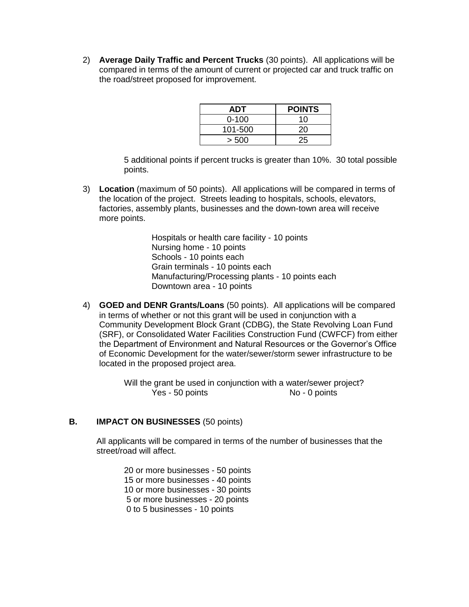2) **Average Daily Traffic and Percent Trucks** (30 points). All applications will be compared in terms of the amount of current or projected car and truck traffic on the road/street proposed for improvement.

| ADT       | <b>POINTS</b> |
|-----------|---------------|
| $0 - 100$ | 10            |
| 101-500   | 20            |
| > 500     | 25            |

5 additional points if percent trucks is greater than 10%. 30 total possible points.

3) **Location** (maximum of 50 points). All applications will be compared in terms of the location of the project. Streets leading to hospitals, schools, elevators, factories, assembly plants, businesses and the down-town area will receive more points.

> Hospitals or health care facility - 10 points Nursing home - 10 points Schools - 10 points each Grain terminals - 10 points each Manufacturing/Processing plants - 10 points each Downtown area - 10 points

4) **GOED and DENR Grants/Loans** (50 points). All applications will be compared in terms of whether or not this grant will be used in conjunction with a Community Development Block Grant (CDBG), the State Revolving Loan Fund (SRF), or Consolidated Water Facilities Construction Fund (CWFCF) from either the Department of Environment and Natural Resources or the Governor's Office of Economic Development for the water/sewer/storm sewer infrastructure to be located in the proposed project area.

> Will the grant be used in conjunction with a water/sewer project? Yes - 50 points No - 0 points

### **B. IMPACT ON BUSINESSES** (50 points)

All applicants will be compared in terms of the number of businesses that the street/road will affect.

20 or more businesses - 50 points 15 or more businesses - 40 points 10 or more businesses - 30 points 5 or more businesses - 20 points 0 to 5 businesses - 10 points